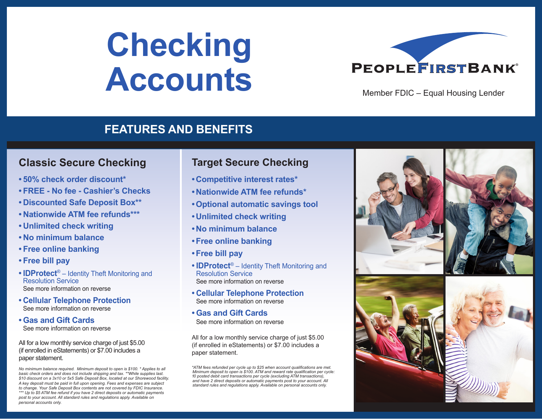# **Checking Accounts**



Member FDIC – Equal Housing Lender

### **FEATURES AND BENEFITS**

#### **Classic Secure Checking**

- **• 50% check order discount\***
- **• FREE No fee Cashier's Checks**
- **• Discounted Safe Deposit Box\*\***
- **• Nationwide ATM fee refunds\*\*\***
- **• Unlimited check writing**
- **• No minimum balance**
- **• Free online banking**
- **• Free bill pay**
- **IDProtect**® Identity Theft Monitoring and Resolution Service See more information on reverse
- **• Cellular Telephone Protection** See more information on reverse
- **• Gas and Gift Cards** See more information on reverse

#### All for a low monthly service charge of just \$5.00 (if enrolled in eStatements) or \$7.00 includes a paper statement.

*No minimum balance required. Minimum deposit to open is \$100. \* Applies to all basic check orders and does not include shipping and tax. \*\*While supplies last. \$10 discount on a 3x10 or 5x5 Safe Deposit Box, located at our Shorewood facility. A key deposit must be paid in full upon opening. Fees and expenses are subject to change. Your Safe Deposit Box contents are not covered by FDIC Insurance. \*\*\* Up to \$5 ATM fee refund if you have 2 direct deposits or automatic payments post to your account. All standard rules and regulations apply. Available on personal accounts only.* 

# **Target Secure Checking**

- **• Competitive interest rates\***
- **• Nationwide ATM fee refunds\***
- **•Optional automatic savings tool**
- **• Unlimited check writing**
- **• No minimum balance**
- **•Free online banking**
- **•Free bill pay**
- **IDProtect**® Identity Theft Monitoring and Resolution Service See more information on reverse
- **• Cellular Telephone Protection** See more information on reverse
- **• Gas and Gift Cards** See more information on reverse

All for a low monthly service charge of just \$5.00 (if enrolled in eStatements) or \$7.00 includes a paper statement.

*\*ATM fees refunded per cycle up to \$25 when account qualifications are met. Minimum deposit to open is \$100. ATM and reward rate qualification per cycle: 10 posted debit card transactions per cycle (excluding ATM transactions), and have 2 direct deposits or automatic payments post to your account. All standard rules and regulations apply. Available on personal accounts only.*